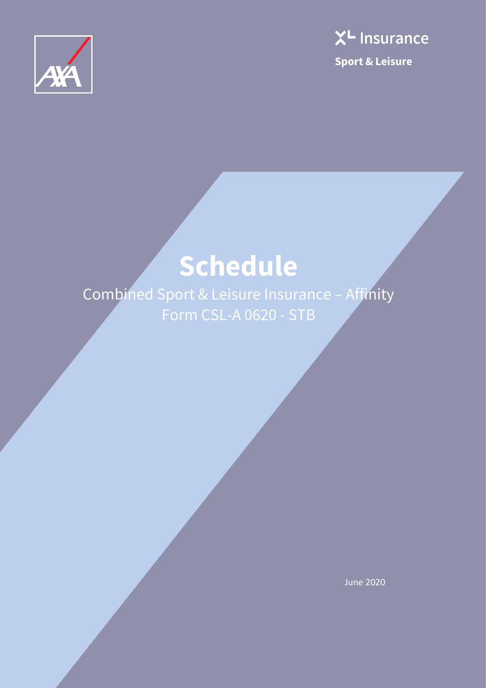



Combined Sport & Leisure Insurance – Affinity Form CSL-A 0620 - STB

June 2020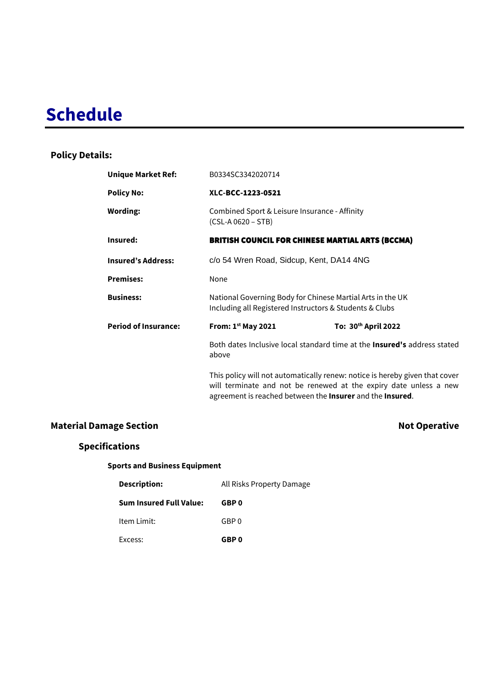### **Policy Details:**

| <b>Unique Market Ref:</b>   | B0334SC3342020714                                                                                                                                                                                                            |                                 |
|-----------------------------|------------------------------------------------------------------------------------------------------------------------------------------------------------------------------------------------------------------------------|---------------------------------|
| <b>Policy No:</b>           | XLC-BCC-1223-0521                                                                                                                                                                                                            |                                 |
| <b>Wording:</b>             | Combined Sport & Leisure Insurance - Affinity<br>$(CSL-A 0620 - STB)$                                                                                                                                                        |                                 |
| Insured:                    | <b>BRITISH COUNCIL FOR CHINESE MARTIAL ARTS (BCCMA)</b>                                                                                                                                                                      |                                 |
| <b>Insured's Address:</b>   | c/o 54 Wren Road, Sidcup, Kent, DA14 4NG                                                                                                                                                                                     |                                 |
| <b>Premises:</b>            | None                                                                                                                                                                                                                         |                                 |
| <b>Business:</b>            | National Governing Body for Chinese Martial Arts in the UK<br>Including all Registered Instructors & Students & Clubs                                                                                                        |                                 |
| <b>Period of Insurance:</b> | From: 1st May 2021                                                                                                                                                                                                           | To: 30 <sup>th</sup> April 2022 |
|                             | Both dates Inclusive local standard time at the <b>Insured's</b> address stated<br>above                                                                                                                                     |                                 |
|                             | This policy will not automatically renew: notice is hereby given that cover<br>will terminate and not be renewed at the expiry date unless a new<br>agreement is reached between the <b>Insurer</b> and the <b>Insured</b> . |                                 |

### **Material Damage Section Not Operative**

### **Specifications**

### **Sports and Business Equipment**

| <b>Description:</b>     | All Risks Property Damage |  |
|-------------------------|---------------------------|--|
| Sum Insured Full Value: | GBP 0                     |  |
| Item Limit:             | GBP 0                     |  |
| Excess:                 | GBP 0                     |  |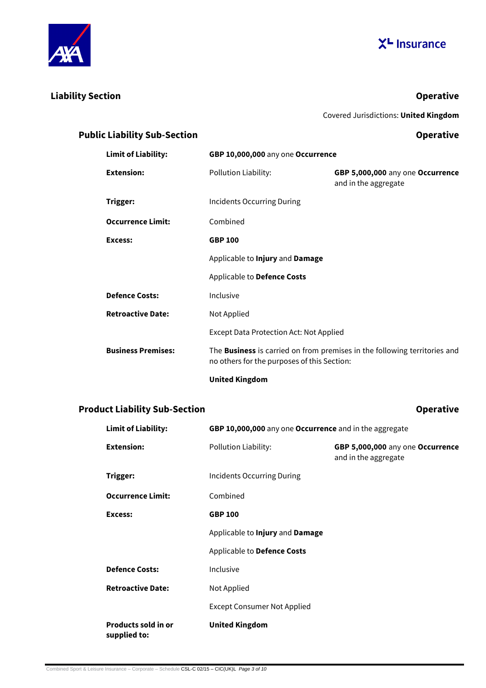



### **Liability Section Operative**

**Operative** 

Covered Jurisdictions: **United Kingdom**

| <b>Public Liability Sub-Section</b> |  |
|-------------------------------------|--|
|-------------------------------------|--|

| <b>Limit of Liability:</b> | GBP 10,000,000 any one Occurrence                                                                                               |                                                          |
|----------------------------|---------------------------------------------------------------------------------------------------------------------------------|----------------------------------------------------------|
| <b>Extension:</b>          | Pollution Liability:                                                                                                            | GBP 5,000,000 any one Occurrence<br>and in the aggregate |
| Trigger:                   | Incidents Occurring During                                                                                                      |                                                          |
| <b>Occurrence Limit:</b>   | Combined                                                                                                                        |                                                          |
| <b>Excess:</b>             | <b>GBP 100</b>                                                                                                                  |                                                          |
|                            | Applicable to Injury and Damage                                                                                                 |                                                          |
|                            | Applicable to Defence Costs                                                                                                     |                                                          |
| <b>Defence Costs:</b>      | Inclusive                                                                                                                       |                                                          |
| <b>Retroactive Date:</b>   | Not Applied                                                                                                                     |                                                          |
|                            | Except Data Protection Act: Not Applied                                                                                         |                                                          |
| <b>Business Premises:</b>  | The <b>Business</b> is carried on from premises in the following territories and<br>no others for the purposes of this Section: |                                                          |
|                            | <b>United Kingdom</b>                                                                                                           |                                                          |

### **Product Liability Sub-Section Contract Contract Contract Contract Contract Contract Contract Contract Contract Contract Contract Contract Contract Contract Contract Contract Contract Contract Contract Contract Contract**

| <b>Limit of Liability:</b>                 | GBP 10,000,000 any one Occurrence and in the aggregate |                                                          |
|--------------------------------------------|--------------------------------------------------------|----------------------------------------------------------|
| <b>Extension:</b>                          | Pollution Liability:                                   | GBP 5,000,000 any one Occurrence<br>and in the aggregate |
| Trigger:                                   | <b>Incidents Occurring During</b>                      |                                                          |
| <b>Occurrence Limit:</b>                   | Combined                                               |                                                          |
| Excess:                                    | <b>GBP 100</b>                                         |                                                          |
|                                            | Applicable to Injury and Damage                        |                                                          |
|                                            | Applicable to Defence Costs                            |                                                          |
| <b>Defence Costs:</b>                      | Inclusive                                              |                                                          |
| <b>Retroactive Date:</b>                   | Not Applied                                            |                                                          |
|                                            | <b>Except Consumer Not Applied</b>                     |                                                          |
| <b>Products sold in or</b><br>supplied to: | <b>United Kingdom</b>                                  |                                                          |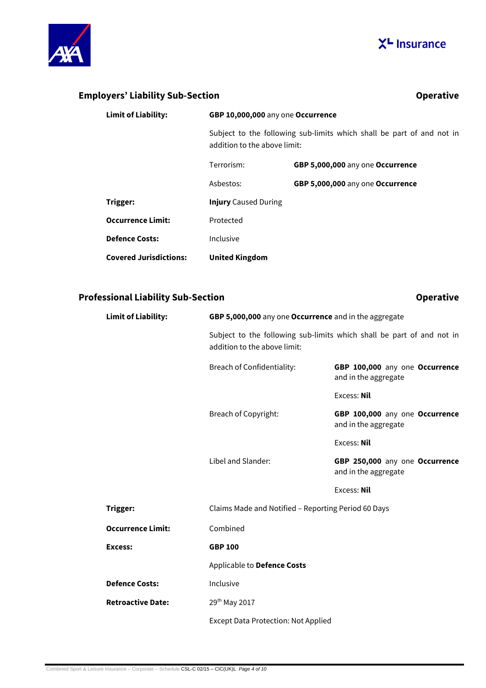



### **Employers' Liability Sub-Section Contract Contract Contract Contract Contract Contract Contract Contract Contract Contract Contract Contract Contract Contract Contract Contract Contract Contract Contract Contract Contra**

| <b>Limit of Liability:</b>    | GBP 10,000,000 any one Occurrence<br>Subject to the following sub-limits which shall be part of and not in<br>addition to the above limit: |                                  |
|-------------------------------|--------------------------------------------------------------------------------------------------------------------------------------------|----------------------------------|
|                               |                                                                                                                                            |                                  |
|                               | Terrorism:                                                                                                                                 | GBP 5,000,000 any one Occurrence |
|                               | Asbestos:                                                                                                                                  | GBP 5,000,000 any one Occurrence |
| Trigger:                      | <b>Injury</b> Caused During                                                                                                                |                                  |
| <b>Occurrence Limit:</b>      | Protected                                                                                                                                  |                                  |
| <b>Defence Costs:</b>         | Inclusive                                                                                                                                  |                                  |
| <b>Covered Jurisdictions:</b> | <b>United Kingdom</b>                                                                                                                      |                                  |

### **Professional Liability Sub-Section Operative**

| <b>Limit of Liability:</b> | GBP 5,000,000 any one Occurrence and in the aggregate |                                                                       |
|----------------------------|-------------------------------------------------------|-----------------------------------------------------------------------|
|                            | addition to the above limit:                          | Subject to the following sub-limits which shall be part of and not in |
|                            | Breach of Confidentiality:                            | GBP 100,000 any one Occurrence<br>and in the aggregate                |
|                            |                                                       | <b>Excess: Nil</b>                                                    |
|                            | Breach of Copyright:                                  | GBP 100,000 any one Occurrence<br>and in the aggregate                |
|                            |                                                       | Excess: Nil                                                           |
|                            | Libel and Slander:                                    | GBP 250,000 any one Occurrence<br>and in the aggregate                |
|                            |                                                       | Excess: Nil                                                           |
| Trigger:                   | Claims Made and Notified - Reporting Period 60 Days   |                                                                       |
| <b>Occurrence Limit:</b>   | Combined                                              |                                                                       |
| Excess:                    | <b>GBP 100</b>                                        |                                                                       |
|                            | Applicable to Defence Costs                           |                                                                       |
| <b>Defence Costs:</b>      | Inclusive                                             |                                                                       |
| <b>Retroactive Date:</b>   | 29th May 2017                                         |                                                                       |
|                            | <b>Except Data Protection: Not Applied</b>            |                                                                       |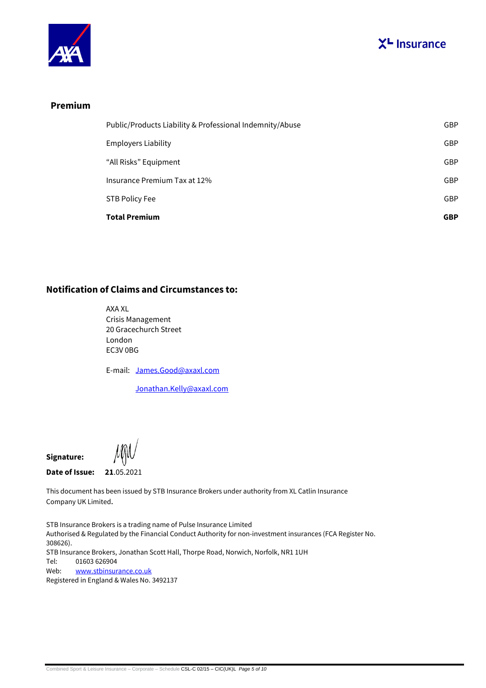



#### **Premium**

| <b>Total Premium</b>                                     | <b>GBP</b> |
|----------------------------------------------------------|------------|
| STB Policy Fee                                           | <b>GBP</b> |
| Insurance Premium Tax at 12%                             | <b>GBP</b> |
| "All Risks" Equipment                                    | <b>GBP</b> |
| <b>Employers Liability</b>                               | <b>GBP</b> |
| Public/Products Liability & Professional Indemnity/Abuse | <b>GBP</b> |

#### **Notification of Claims and Circumstances to:**

AXA XL Crisis Management 20 Gracechurch Street London EC3V 0BG

E-mail: [James.Good@axaxl.com](mailto:James.Good@axaxl.com)

[Jonathan.Kelly@axaxl.com](mailto:Jonathan.Kelly@axaxl.com)

**Signature:**

**Date of Issue: 21**.05.2021

This document has been issued by STB Insurance Brokers under authority from XL Catlin Insurance Company UK Limited.

STB Insurance Brokers is a trading name of Pulse Insurance Limited Authorised & Regulated by the Financial Conduct Authority for non-investment insurances (FCA Register No. 308626). STB Insurance Brokers, Jonathan Scott Hall, Thorpe Road, Norwich, Norfolk, NR1 1UH Tel: 01603 626904 Web: [www.stbinsurance.co.uk](http://www.stbinsurance.co.uk/) Registered in England & Wales No. 3492137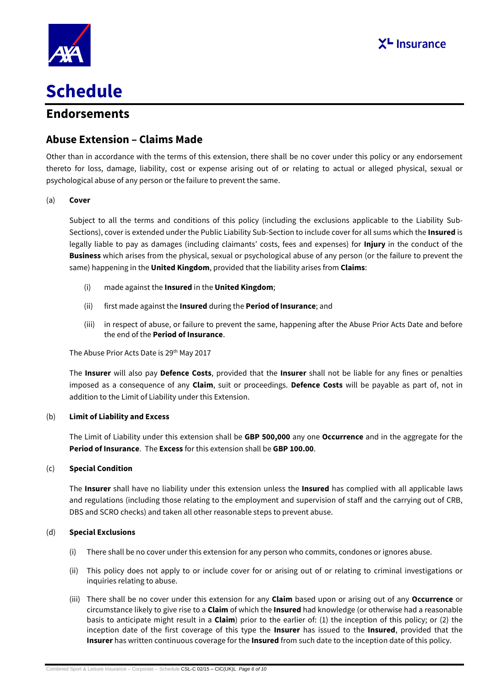



### **Endorsements**

### **Abuse Extension – Claims Made**

Other than in accordance with the terms of this extension, there shall be no cover under this policy or any endorsement thereto for loss, damage, liability, cost or expense arising out of or relating to actual or alleged physical, sexual or psychological abuse of any person or the failure to prevent the same.

#### (a) **Cover**

Subject to all the terms and conditions of this policy (including the exclusions applicable to the Liability Sub-Sections), cover is extended under the Public Liability Sub-Section to include cover for all sums which the **Insured** is legally liable to pay as damages (including claimants' costs, fees and expenses) for **Injury** in the conduct of the **Business** which arises from the physical, sexual or psychological abuse of any person (or the failure to prevent the same) happening in the **United Kingdom**, provided that the liability arises from **Claims**:

- (i) made against the **Insured** in the **United Kingdom**;
- (ii) first made against the **Insured** during the **Period of Insurance**; and
- (iii) in respect of abuse, or failure to prevent the same, happening after the Abuse Prior Acts Date and before the end of the **Period of Insurance**.

The Abuse Prior Acts Date is 29<sup>th</sup> May 2017

The **Insurer** will also pay **Defence Costs**, provided that the **Insurer** shall not be liable for any fines or penalties imposed as a consequence of any **Claim**, suit or proceedings. **Defence Costs** will be payable as part of, not in addition to the Limit of Liability under this Extension.

#### (b) **Limit of Liability and Excess**

The Limit of Liability under this extension shall be **GBP 500,000** any one **Occurrence** and in the aggregate for the **Period of Insurance**. The **Excess** for this extension shall be **GBP 100.00**.

#### (c) **Special Condition**

The **Insurer** shall have no liability under this extension unless the **Insured** has complied with all applicable laws and regulations (including those relating to the employment and supervision of staff and the carrying out of CRB, DBS and SCRO checks) and taken all other reasonable steps to prevent abuse.

#### (d) **Special Exclusions**

- (i) There shall be no cover under this extension for any person who commits, condones or ignores abuse.
- (ii) This policy does not apply to or include cover for or arising out of or relating to criminal investigations or inquiries relating to abuse.
- (iii) There shall be no cover under this extension for any **Claim** based upon or arising out of any **Occurrence** or circumstance likely to give rise to a **Claim** of which the **Insured** had knowledge (or otherwise had a reasonable basis to anticipate might result in a **Claim**) prior to the earlier of: (1) the inception of this policy; or (2) the inception date of the first coverage of this type the **Insurer** has issued to the **Insured**, provided that the **Insurer** has written continuous coverage for the **Insured** from such date to the inception date of this policy.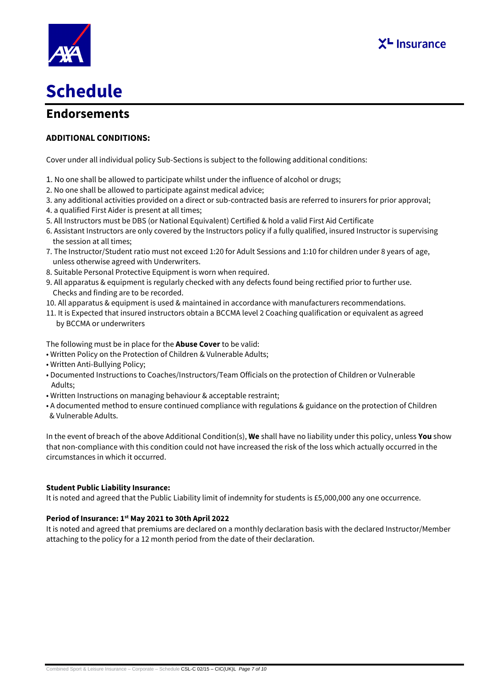



### **Endorsements**

### **ADDITIONAL CONDITIONS:**

Cover under all individual policy Sub-Sections is subject to the following additional conditions:

- 1. No one shall be allowed to participate whilst under the influence of alcohol or drugs;
- 2. No one shall be allowed to participate against medical advice;
- 3. any additional activities provided on a direct or sub-contracted basis are referred to insurers for prior approval;
- 4. a qualified First Aider is present at all times;
- 5. All Instructors must be DBS (or National Equivalent) Certified & hold a valid First Aid Certificate
- 6. Assistant Instructors are only covered by the Instructors policy if a fully qualified, insured Instructor is supervising the session at all times;
- 7. The Instructor/Student ratio must not exceed 1:20 for Adult Sessions and 1:10 for children under 8 years of age, unless otherwise agreed with Underwriters.
- 8. Suitable Personal Protective Equipment is worn when required.
- 9. All apparatus & equipment is regularly checked with any defects found being rectified prior to further use. Checks and finding are to be recorded.
- 10. All apparatus & equipment is used & maintained in accordance with manufacturers recommendations.
- 11. It is Expected that insured instructors obtain a BCCMA level 2 Coaching qualification or equivalent as agreed by BCCMA or underwriters

The following must be in place for the **Abuse Cover** to be valid:

- Written Policy on the Protection of Children & Vulnerable Adults;
- Written Anti-Bullying Policy;
- Documented Instructions to Coaches/Instructors/Team Officials on the protection of Children or Vulnerable Adults;
- Written Instructions on managing behaviour & acceptable restraint;
- A documented method to ensure continued compliance with regulations & guidance on the protection of Children & Vulnerable Adults.

In the event of breach of the above Additional Condition(s), **We** shall have no liability under this policy, unless **You** show that non-compliance with this condition could not have increased the risk of the loss which actually occurred in the circumstances in which it occurred.

#### **Student Public Liability Insurance:**

It is noted and agreed that the Public Liability limit of indemnity for students is £5,000,000 any one occurrence.

#### **Period of Insurance: 1st May 2021 to 30th April 2022**

It is noted and agreed that premiums are declared on a monthly declaration basis with the declared Instructor/Member attaching to the policy for a 12 month period from the date of their declaration.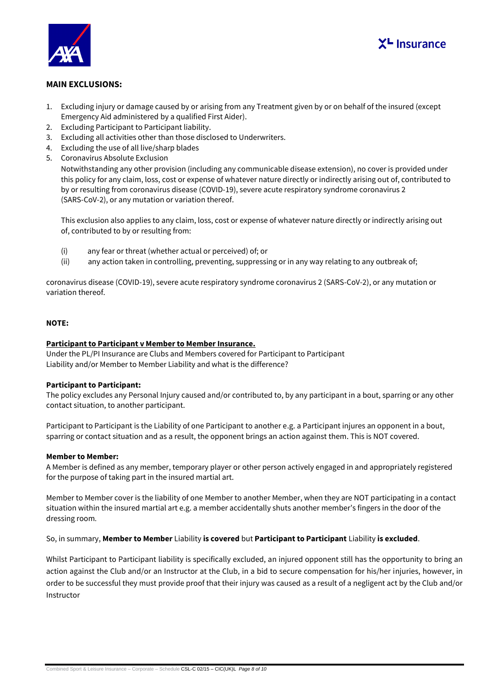



#### **MAIN EXCLUSIONS:**

- 1. Excluding injury or damage caused by or arising from any Treatment given by or on behalf of the insured (except Emergency Aid administered by a qualified First Aider).
- 2. Excluding Participant to Participant liability.
- 3. Excluding all activities other than those disclosed to Underwriters.
- 4. Excluding the use of all live/sharp blades
- 5. Coronavirus Absolute Exclusion

Notwithstanding any other provision (including any communicable disease extension), no cover is provided under this policy for any claim, loss, cost or expense of whatever nature directly or indirectly arising out of, contributed to by or resulting from coronavirus disease (COVID-19), severe acute respiratory syndrome coronavirus 2 (SARS-CoV-2), or any mutation or variation thereof.

This exclusion also applies to any claim, loss, cost or expense of whatever nature directly or indirectly arising out of, contributed to by or resulting from:

- (i) any fear or threat (whether actual or perceived) of; or
- (ii) any action taken in controlling, preventing, suppressing or in any way relating to any outbreak of;

coronavirus disease (COVID-19), severe acute respiratory syndrome coronavirus 2 (SARS-CoV-2), or any mutation or variation thereof.

#### **NOTE:**

#### **Participant to Participant v Member to Member Insurance.**

Under the PL/PI Insurance are Clubs and Members covered for Participant to Participant Liability and/or Member to Member Liability and what is the difference?

#### **Participant to Participant:**

The policy excludes any Personal Injury caused and/or contributed to, by any participant in a bout, sparring or any other contact situation, to another participant.

Participant to Participant is the Liability of one Participant to another e.g. a Participant injures an opponent in a bout, sparring or contact situation and as a result, the opponent brings an action against them. This is NOT covered.

#### **Member to Member:**

A Member is defined as any member, temporary player or other person actively engaged in and appropriately registered for the purpose of taking part in the insured martial art.

Member to Member cover is the liability of one Member to another Member, when they are NOT participating in a contact situation within the insured martial art e.g. a member accidentally shuts another member's fingers in the door of the dressing room*.*

#### So, in summary, **Member to Member** Liability **is covered** but **Participant to Participant** Liability **is excluded**.

Whilst Participant to Participant liability is specifically excluded, an injured opponent still has the opportunity to bring an action against the Club and/or an Instructor at the Club, in a bid to secure compensation for his/her injuries, however, in order to be successful they must provide proof that their injury was caused as a result of a negligent act by the Club and/or Instructor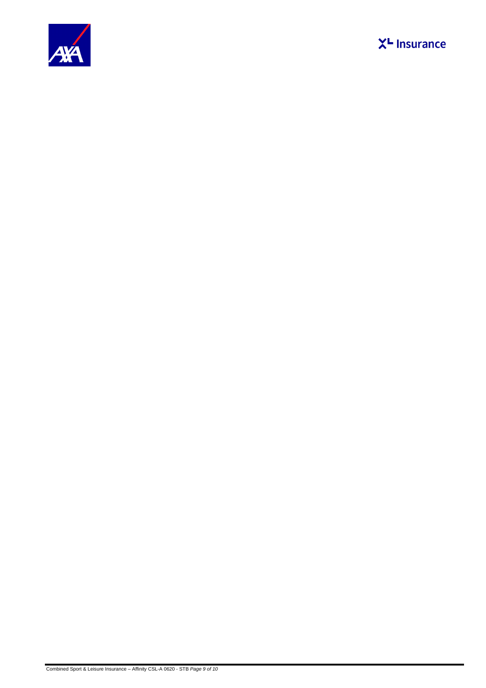